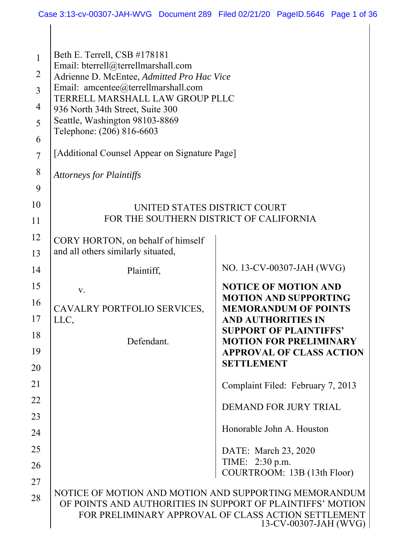$\mathbf{I}$ 

| $\mathbf{1}$<br>$\overline{2}$<br>$\overline{3}$<br>$\overline{4}$<br>5<br>6 | Beth E. Terrell, CSB #178181<br>Email: bterrell@terrellmarshall.com<br>Adrienne D. McEntee, Admitted Pro Hac Vice<br>Email: amcentee@terrellmarshall.com<br>TERRELL MARSHALL LAW GROUP PLLC<br>936 North 34th Street, Suite 300<br>Seattle, Washington 98103-8869<br>Telephone: (206) 816-6603 |                                                                              |
|------------------------------------------------------------------------------|------------------------------------------------------------------------------------------------------------------------------------------------------------------------------------------------------------------------------------------------------------------------------------------------|------------------------------------------------------------------------------|
| $\overline{7}$                                                               | [Additional Counsel Appear on Signature Page]                                                                                                                                                                                                                                                  |                                                                              |
| 8                                                                            | <b>Attorneys for Plaintiffs</b>                                                                                                                                                                                                                                                                |                                                                              |
| 9                                                                            |                                                                                                                                                                                                                                                                                                |                                                                              |
| 10                                                                           | UNITED STATES DISTRICT COURT                                                                                                                                                                                                                                                                   |                                                                              |
| 11                                                                           | FOR THE SOUTHERN DISTRICT OF CALIFORNIA                                                                                                                                                                                                                                                        |                                                                              |
| 12                                                                           | CORY HORTON, on behalf of himself                                                                                                                                                                                                                                                              |                                                                              |
| 13                                                                           | and all others similarly situated,                                                                                                                                                                                                                                                             |                                                                              |
| 14                                                                           | Plaintiff,                                                                                                                                                                                                                                                                                     | NO. 13-CV-00307-JAH (WVG)                                                    |
| 15                                                                           | V.                                                                                                                                                                                                                                                                                             | <b>NOTICE OF MOTION AND</b>                                                  |
| 16                                                                           | CAVALRY PORTFOLIO SERVICES,                                                                                                                                                                                                                                                                    | <b>MOTION AND SUPPORTING</b><br><b>MEMORANDUM OF POINTS</b>                  |
| 17                                                                           | LLC,                                                                                                                                                                                                                                                                                           | <b>AND AUTHORITIES IN</b><br><b>SUPPORT OF PLAINTIFFS'</b>                   |
| 18                                                                           | Defendant.                                                                                                                                                                                                                                                                                     | <b>MOTION FOR PRELIMINARY</b>                                                |
| 19                                                                           |                                                                                                                                                                                                                                                                                                | <b>APPROVAL OF CLASS ACTION</b><br><b>SETTLEMENT</b>                         |
| 20                                                                           |                                                                                                                                                                                                                                                                                                |                                                                              |
| 21                                                                           |                                                                                                                                                                                                                                                                                                | Complaint Filed: February 7, 2013                                            |
| 22                                                                           |                                                                                                                                                                                                                                                                                                | <b>DEMAND FOR JURY TRIAL</b>                                                 |
| 23<br>24                                                                     |                                                                                                                                                                                                                                                                                                | Honorable John A. Houston                                                    |
|                                                                              |                                                                                                                                                                                                                                                                                                |                                                                              |
| 25<br>26                                                                     |                                                                                                                                                                                                                                                                                                | DATE: March 23, 2020<br>TIME: 2:30 p.m.                                      |
| 27                                                                           |                                                                                                                                                                                                                                                                                                | COURTROOM: 13B (13th Floor)                                                  |
| 28                                                                           | NOTICE OF MOTION AND MOTION AND SUPPORTING MEMORANDUM<br>OF POINTS AND AUTHORITIES IN SUPPORT OF PLAINTIFFS' MOTION                                                                                                                                                                            | FOR PRELIMINARY APPROVAL OF CLASS ACTION SETTLEMENT<br>13-CV-00307-JAH (WVG) |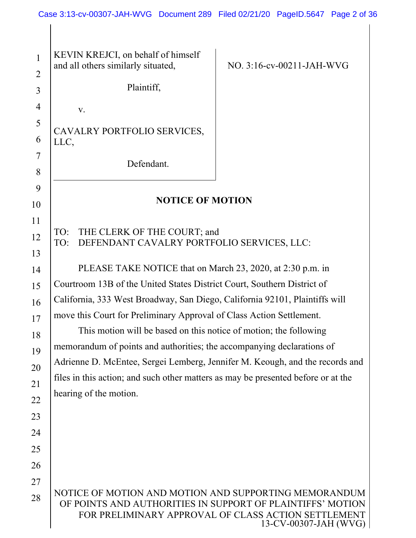| $\mathbf{1}$<br>$\overline{2}$ | KEVIN KREJCI, on behalf of himself<br>and all others similarly situated,                                                                                                   | NO. 3:16-cv-00211-JAH-WVG                                              |  |  |
|--------------------------------|----------------------------------------------------------------------------------------------------------------------------------------------------------------------------|------------------------------------------------------------------------|--|--|
| 3                              | Plaintiff,                                                                                                                                                                 |                                                                        |  |  |
| $\overline{4}$                 | V.                                                                                                                                                                         |                                                                        |  |  |
| 5                              | CAVALRY PORTFOLIO SERVICES,                                                                                                                                                |                                                                        |  |  |
| 6                              | LLC,                                                                                                                                                                       |                                                                        |  |  |
| 7<br>8                         | Defendant.                                                                                                                                                                 |                                                                        |  |  |
| 9                              |                                                                                                                                                                            |                                                                        |  |  |
| 10                             | <b>NOTICE OF MOTION</b>                                                                                                                                                    |                                                                        |  |  |
| 11                             |                                                                                                                                                                            |                                                                        |  |  |
| 12                             | THE CLERK OF THE COURT; and<br>TO:<br>DEFENDANT CAVALRY PORTFOLIO SERVICES, LLC:<br>TO:                                                                                    |                                                                        |  |  |
| 13                             |                                                                                                                                                                            |                                                                        |  |  |
| 14                             | PLEASE TAKE NOTICE that on March 23, 2020, at 2:30 p.m. in<br>Courtroom 13B of the United States District Court, Southern District of                                      |                                                                        |  |  |
| 15<br>16                       | California, 333 West Broadway, San Diego, California 92101, Plaintiffs will                                                                                                |                                                                        |  |  |
| 17                             | move this Court for Preliminary Approval of Class Action Settlement.                                                                                                       |                                                                        |  |  |
| 18                             | This motion will be based on this notice of motion; the following                                                                                                          |                                                                        |  |  |
| 19                             |                                                                                                                                                                            | memorandum of points and authorities; the accompanying declarations of |  |  |
| 20                             | Adrienne D. McEntee, Sergei Lemberg, Jennifer M. Keough, and the records and                                                                                               |                                                                        |  |  |
| 21                             | files in this action; and such other matters as may be presented before or at the                                                                                          |                                                                        |  |  |
| 22                             | hearing of the motion.                                                                                                                                                     |                                                                        |  |  |
| 23                             |                                                                                                                                                                            |                                                                        |  |  |
| 24                             |                                                                                                                                                                            |                                                                        |  |  |
| 25                             |                                                                                                                                                                            |                                                                        |  |  |
| 26                             |                                                                                                                                                                            |                                                                        |  |  |
| 27                             |                                                                                                                                                                            |                                                                        |  |  |
| 28                             | NOTICE OF MOTION AND MOTION AND SUPPORTING MEMORANDUM<br>OF POINTS AND AUTHORITIES IN SUPPORT OF PLAINTIFFS' MOTION<br>FOR PRELIMINARY APPROVAL OF CLASS ACTION SETTLEMENT | 13-CV-00307-JAH (WVG)                                                  |  |  |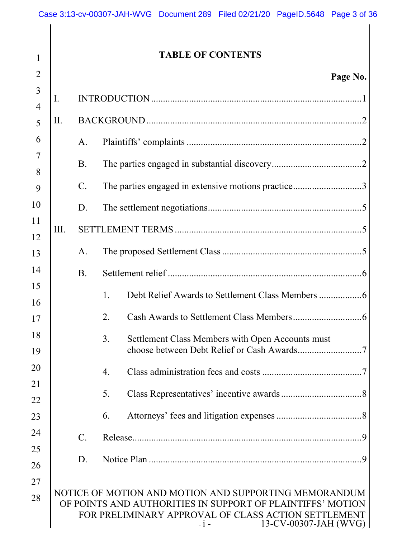| $\mathbf{1}$        |      |                | <b>TABLE OF CONTENTS</b>                                                                                                                            |
|---------------------|------|----------------|-----------------------------------------------------------------------------------------------------------------------------------------------------|
| 2                   |      |                | Page No.                                                                                                                                            |
| 3                   | I.   |                |                                                                                                                                                     |
| $\overline{4}$<br>5 | Π.   |                |                                                                                                                                                     |
| 6                   |      | A.             |                                                                                                                                                     |
| 7                   |      |                |                                                                                                                                                     |
| 8                   |      | <b>B.</b>      |                                                                                                                                                     |
| 9                   |      | $\mathbf{C}$ . | The parties engaged in extensive motions practice3                                                                                                  |
| 10                  |      | D.             |                                                                                                                                                     |
| 11<br>12            | III. |                |                                                                                                                                                     |
| 13                  |      | A.             |                                                                                                                                                     |
| 14                  |      | <b>B.</b>      |                                                                                                                                                     |
| 15                  |      |                | 1.                                                                                                                                                  |
| 16                  |      |                | 2.                                                                                                                                                  |
| 17<br>18            |      |                |                                                                                                                                                     |
| 19                  |      |                | 3.<br>Settlement Class Members with Open Accounts must                                                                                              |
| 20                  |      |                | 4.                                                                                                                                                  |
| 21                  |      |                | 5.                                                                                                                                                  |
| 22<br>23            |      |                | 6.                                                                                                                                                  |
| 24                  |      |                |                                                                                                                                                     |
| 25                  |      | $\mathbf{C}$ . |                                                                                                                                                     |
| 26                  |      | D.             |                                                                                                                                                     |
| 27                  |      |                | NOTICE OF MOTION AND MOTION AND SUPPORTING MEMORANDUM                                                                                               |
| 28                  |      |                | OF POINTS AND AUTHORITIES IN SUPPORT OF PLAINTIFFS' MOTION<br>FOR PRELIMINARY APPROVAL OF CLASS ACTION SETTLEMENT<br>13-CV-00307-JAH (WVG)<br>$-1-$ |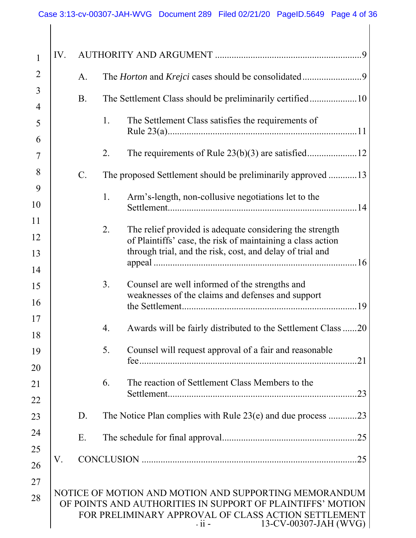| 1              | IV. |             |                                                                                                                                                                                                                |
|----------------|-----|-------------|----------------------------------------------------------------------------------------------------------------------------------------------------------------------------------------------------------------|
| $\overline{2}$ |     | A.          |                                                                                                                                                                                                                |
| 3              |     | <b>B.</b>   | The Settlement Class should be preliminarily certified10                                                                                                                                                       |
| 4<br>5         |     |             | 1.<br>The Settlement Class satisfies the requirements of                                                                                                                                                       |
| 6              |     |             |                                                                                                                                                                                                                |
| 7              |     |             | 2.                                                                                                                                                                                                             |
| 8              |     | $C_{\cdot}$ | The proposed Settlement should be preliminarily approved 13                                                                                                                                                    |
| 9<br>10        |     |             | 1.<br>Arm's-length, non-collusive negotiations let to the                                                                                                                                                      |
| 11             |     |             | 2.<br>The relief provided is adequate considering the strength                                                                                                                                                 |
| 12             |     |             | of Plaintiffs' case, the risk of maintaining a class action                                                                                                                                                    |
| 13<br>14       |     |             | through trial, and the risk, cost, and delay of trial and                                                                                                                                                      |
| 15             |     |             | 3.<br>Counsel are well informed of the strengths and<br>weaknesses of the claims and defenses and support                                                                                                      |
| 16             |     |             | .19                                                                                                                                                                                                            |
| 17<br>18       |     |             | 4.<br>Awards will be fairly distributed to the Settlement Class 20                                                                                                                                             |
| 19             |     |             | Counsel will request approval of a fair and reasonable<br>5.<br>.21                                                                                                                                            |
| 20<br>21       |     |             | The reaction of Settlement Class Members to the<br>6.                                                                                                                                                          |
| 22             |     |             | .23                                                                                                                                                                                                            |
| 23             |     | D.          | The Notice Plan complies with Rule $23(e)$ and due process 23                                                                                                                                                  |
| 24             |     | Ε.          | .25                                                                                                                                                                                                            |
| 25             | V.  |             |                                                                                                                                                                                                                |
| 26             |     |             |                                                                                                                                                                                                                |
| 27<br>28       |     |             | NOTICE OF MOTION AND MOTION AND SUPPORTING MEMORANDUM<br>OF POINTS AND AUTHORITIES IN SUPPORT OF PLAINTIFFS' MOTION<br>FOR PRELIMINARY APPROVAL OF CLASS ACTION SETTLEMENT<br>13-CV-00307-JAH (WVG)<br>$-11 -$ |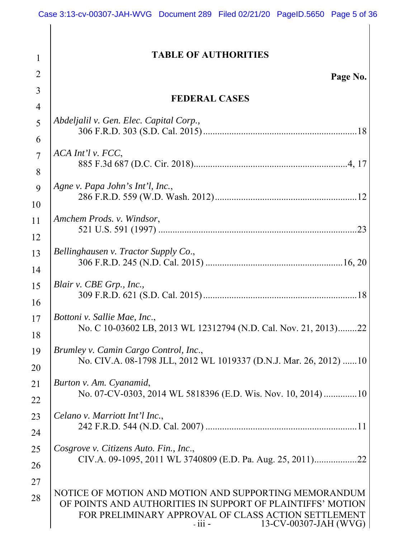| $\mathbf{1}$        | <b>TABLE OF AUTHORITIES</b>                                                                                                                            |
|---------------------|--------------------------------------------------------------------------------------------------------------------------------------------------------|
| $\overline{2}$      | Page No.                                                                                                                                               |
| 3                   |                                                                                                                                                        |
| 4                   | <b>FEDERAL CASES</b>                                                                                                                                   |
| 5                   | Abdeljalil v. Gen. Elec. Capital Corp.,                                                                                                                |
| 6                   |                                                                                                                                                        |
| $\overline{7}$<br>8 | ACA Int'l v. FCC,                                                                                                                                      |
| 9                   | Agne v. Papa John's Int'l, Inc.,                                                                                                                       |
| 10                  |                                                                                                                                                        |
| 11<br>12            | Amchem Prods. v. Windsor,                                                                                                                              |
| 13                  | Bellinghausen v. Tractor Supply Co.,                                                                                                                   |
| 14                  |                                                                                                                                                        |
| 15                  | Blair v. CBE Grp., Inc.,                                                                                                                               |
| 16                  |                                                                                                                                                        |
| 17<br>18            | Bottoni v. Sallie Mae, Inc.,<br>No. C 10-03602 LB, 2013 WL 12312794 (N.D. Cal. Nov. 21, 2013)22                                                        |
| 19                  | Brumley v. Camin Cargo Control, Inc.,                                                                                                                  |
| 20                  | No. CIV.A. 08-1798 JLL, 2012 WL 1019337 (D.N.J. Mar. 26, 2012) 10                                                                                      |
| 21                  | Burton v. Am. Cyanamid,                                                                                                                                |
| 22                  | No. 07-CV-0303, 2014 WL 5818396 (E.D. Wis. Nov. 10, 2014) 10                                                                                           |
| 23                  | Celano v. Marriott Int'l Inc.,                                                                                                                         |
| 24                  |                                                                                                                                                        |
| 25                  | Cosgrove v. Citizens Auto. Fin., Inc.,                                                                                                                 |
| 26                  |                                                                                                                                                        |
| 27                  | NOTICE OF MOTION AND MOTION AND SUPPORTING MEMORANDUM                                                                                                  |
| 28                  | OF POINTS AND AUTHORITIES IN SUPPORT OF PLAINTIFFS' MOTION<br>FOR PRELIMINARY APPROVAL OF CLASS ACTION SETTLEMENT<br>13-CV-00307-JAH (WVG)<br>$-111 -$ |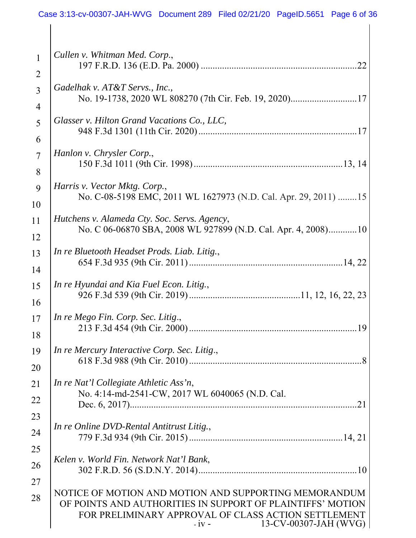| $\mathbf{1}$        | Cullen v. Whitman Med. Corp.,                                                                                                                                                                                  |
|---------------------|----------------------------------------------------------------------------------------------------------------------------------------------------------------------------------------------------------------|
| $\overline{2}$      |                                                                                                                                                                                                                |
| $\overline{3}$      | Gadelhak v. AT&T Servs., Inc.,<br>No. 19-1738, 2020 WL 808270 (7th Cir. Feb. 19, 2020)17                                                                                                                       |
| 4<br>5              | Glasser v. Hilton Grand Vacations Co., LLC,                                                                                                                                                                    |
| 6                   |                                                                                                                                                                                                                |
| $\overline{7}$<br>8 | Hanlon v. Chrysler Corp.,                                                                                                                                                                                      |
|                     |                                                                                                                                                                                                                |
| 9<br>10             | Harris v. Vector Mktg. Corp.,<br>No. C-08-5198 EMC, 2011 WL 1627973 (N.D. Cal. Apr. 29, 2011) 15                                                                                                               |
| 11                  | Hutchens v. Alameda Cty. Soc. Servs. Agency,                                                                                                                                                                   |
| 12                  | No. C 06-06870 SBA, 2008 WL 927899 (N.D. Cal. Apr. 4, 2008)10                                                                                                                                                  |
| 13                  | In re Bluetooth Headset Prods. Liab. Litig.,                                                                                                                                                                   |
| 14                  |                                                                                                                                                                                                                |
| 15                  | In re Hyundai and Kia Fuel Econ. Litig.,                                                                                                                                                                       |
| 16                  |                                                                                                                                                                                                                |
| 17                  | In re Mego Fin. Corp. Sec. Litig.,                                                                                                                                                                             |
| 18                  |                                                                                                                                                                                                                |
| 19                  | In re Mercury Interactive Corp. Sec. Litig.,                                                                                                                                                                   |
| 20                  |                                                                                                                                                                                                                |
| 21                  | In re Nat'l Collegiate Athletic Ass'n,                                                                                                                                                                         |
| 22                  | No. 4:14-md-2541-CW, 2017 WL 6040065 (N.D. Cal.<br>21                                                                                                                                                          |
| 23                  |                                                                                                                                                                                                                |
| 24                  | In re Online DVD-Rental Antitrust Litig.,                                                                                                                                                                      |
| 25                  |                                                                                                                                                                                                                |
| 26                  | Kelen v. World Fin. Network Nat'l Bank,                                                                                                                                                                        |
| 27                  |                                                                                                                                                                                                                |
| 28                  | NOTICE OF MOTION AND MOTION AND SUPPORTING MEMORANDUM<br>OF POINTS AND AUTHORITIES IN SUPPORT OF PLAINTIFFS' MOTION<br>FOR PRELIMINARY APPROVAL OF CLASS ACTION SETTLEMENT<br>13-CV-00307-JAH (WVG)<br>$-iv -$ |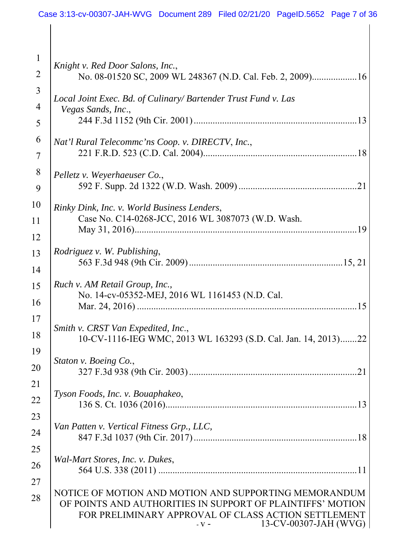| $\mathbf{1}$   | Knight v. Red Door Salons, Inc.,                                                                                    |
|----------------|---------------------------------------------------------------------------------------------------------------------|
| $\overline{2}$ | No. 08-01520 SC, 2009 WL 248367 (N.D. Cal. Feb. 2, 2009)16                                                          |
| $\overline{3}$ | Local Joint Exec. Bd. of Culinary/ Bartender Trust Fund v. Las                                                      |
| 4              | Vegas Sands, Inc.,                                                                                                  |
| 5              |                                                                                                                     |
| 6              | Nat'l Rural Telecommc'ns Coop. v. DIRECTV, Inc.,                                                                    |
| 7              |                                                                                                                     |
| 8              | Pelletz v. Weyerhaeuser Co.,                                                                                        |
| 9              |                                                                                                                     |
| 10             | Rinky Dink, Inc. v. World Business Lenders,                                                                         |
| 11             | Case No. C14-0268-JCC, 2016 WL 3087073 (W.D. Wash.                                                                  |
| 12             | .19                                                                                                                 |
| 13             | <i>Rodriguez v. W. Publishing,</i>                                                                                  |
| 14             |                                                                                                                     |
| 15             | Ruch v. AM Retail Group, Inc.,                                                                                      |
| 16             | No. 14-cv-05352-MEJ, 2016 WL 1161453 (N.D. Cal.                                                                     |
| 17             |                                                                                                                     |
| 18             | Smith v. CRST Van Expedited, Inc.,                                                                                  |
| 19             | 10-CV-1116-IEG WMC, 2013 WL 163293 (S.D. Cal. Jan. 14, 2013)22                                                      |
|                | Staton v. Boeing Co.,                                                                                               |
| 20             |                                                                                                                     |
| 21             | Tyson Foods, Inc. v. Bouaphakeo,                                                                                    |
| 22             |                                                                                                                     |
| 23             | Van Patten v. Vertical Fitness Grp., LLC,                                                                           |
| 24             |                                                                                                                     |
| 25             | Wal-Mart Stores, Inc. v. Dukes,                                                                                     |
| 26             |                                                                                                                     |
| 27             |                                                                                                                     |
| 28             | NOTICE OF MOTION AND MOTION AND SUPPORTING MEMORANDUM<br>OF POINTS AND AUTHORITIES IN SUPPORT OF PLAINTIFFS' MOTION |
|                | FOR PRELIMINARY APPROVAL OF CLASS ACTION SETTLEMENT<br>13-CV-00307-JAH (WVG)                                        |
|                | $-V -$                                                                                                              |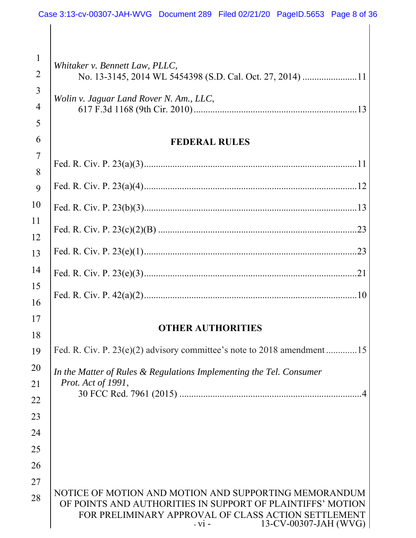|                                | Case 3:13-cv-00307-JAH-WVG Document 289 Filed 02/21/20 PageID.5653 Page 8 of 36                                                                                                                                |
|--------------------------------|----------------------------------------------------------------------------------------------------------------------------------------------------------------------------------------------------------------|
|                                |                                                                                                                                                                                                                |
| $\mathbf{1}$<br>$\overline{2}$ | Whitaker v. Bennett Law, PLLC,                                                                                                                                                                                 |
| 3<br>$\overline{4}$            | Wolin v. Jaguar Land Rover N. Am., LLC,                                                                                                                                                                        |
| 5                              |                                                                                                                                                                                                                |
| 6                              | <b>FEDERAL RULES</b>                                                                                                                                                                                           |
| $\overline{7}$<br>8            |                                                                                                                                                                                                                |
| 9                              |                                                                                                                                                                                                                |
| 10                             |                                                                                                                                                                                                                |
| 11<br>12                       |                                                                                                                                                                                                                |
| 13                             |                                                                                                                                                                                                                |
| 14                             |                                                                                                                                                                                                                |
| 15<br>16                       |                                                                                                                                                                                                                |
| 17                             | <b>OTHER AUTHORITIES</b>                                                                                                                                                                                       |
| 18                             |                                                                                                                                                                                                                |
| 19                             | Fed. R. Civ. P. 23(e)(2) advisory committee's note to 2018 amendment 15                                                                                                                                        |
| 20                             | In the Matter of Rules & Regulations Implementing the Tel. Consumer<br>Prot. Act of 1991,                                                                                                                      |
| 21<br>22                       |                                                                                                                                                                                                                |
| 23                             |                                                                                                                                                                                                                |
| 24                             |                                                                                                                                                                                                                |
| 25                             |                                                                                                                                                                                                                |
| 26                             |                                                                                                                                                                                                                |
| 27                             |                                                                                                                                                                                                                |
| 28                             | NOTICE OF MOTION AND MOTION AND SUPPORTING MEMORANDUM<br>OF POINTS AND AUTHORITIES IN SUPPORT OF PLAINTIFFS' MOTION<br>FOR PRELIMINARY APPROVAL OF CLASS ACTION SETTLEMENT<br>13-CV-00307-JAH (WVG)<br>$-vi -$ |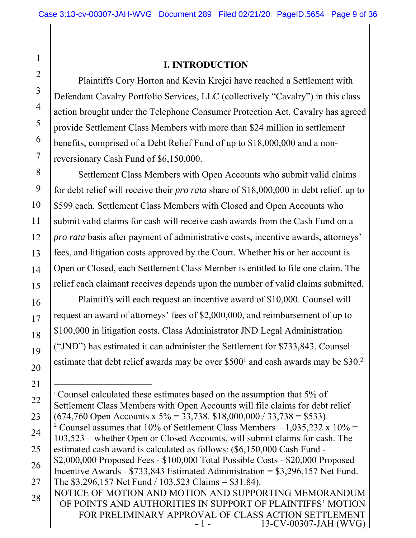# 2

3

4

5

6

7

16

17

18

19

20

21

22

23

1

#### **I. INTRODUCTION**

Plaintiffs Cory Horton and Kevin Krejci have reached a Settlement with Defendant Cavalry Portfolio Services, LLC (collectively "Cavalry") in this class action brought under the Telephone Consumer Protection Act. Cavalry has agreed provide Settlement Class Members with more than \$24 million in settlement benefits, comprised of a Debt Relief Fund of up to \$18,000,000 and a nonreversionary Cash Fund of \$6,150,000.

8 9 10 11 12 13 14 15 Settlement Class Members with Open Accounts who submit valid claims for debt relief will receive their *pro rata* share of \$18,000,000 in debt relief, up to \$599 each. Settlement Class Members with Closed and Open Accounts who submit valid claims for cash will receive cash awards from the Cash Fund on a *pro rata* basis after payment of administrative costs, incentive awards, attorneys' fees, and litigation costs approved by the Court. Whether his or her account is Open or Closed, each Settlement Class Member is entitled to file one claim. The relief each claimant receives depends upon the number of valid claims submitted.

Plaintiffs will each request an incentive award of \$10,000. Counsel will request an award of attorneys' fees of \$2,000,000, and reimbursement of up to \$100,000 in litigation costs. Class Administrator JND Legal Administration ("JND") has estimated it can administer the Settlement for \$733,843. Counsel estimate that debt relief awards may be over \$500<sup>1</sup> and cash awards may be \$30.<sup>2</sup>

<sup>&</sup>lt;sup>1</sup> Counsel calculated these estimates based on the assumption that 5% of Settlement Class Members with Open Accounts will file claims for debt relief  $(674,760 \text{ Open Accounts x } 5\% = 33,738. \text{ $18,000,000} / 33,738 = $533).$ 

<sup>24</sup>  25 <sup>2</sup> Counsel assumes that 10% of Settlement Class Members—1,035,232 x 10% = 103,523—whether Open or Closed Accounts, will submit claims for cash. The estimated cash award is calculated as follows: (\$6,150,000 Cash Fund -

<sup>26</sup>  27 \$2,000,000 Proposed Fees - \$100,000 Total Possible Costs - \$20,000 Proposed Incentive Awards - \$733,843 Estimated Administration = \$3,296,157 Net Fund. The \$3,296,157 Net Fund / 103,523 Claims = \$31.84).

NOTICE OF MOTION AND MOTION AND SUPPORTING MEMORANDUM OF POINTS AND AUTHORITIES IN SUPPORT OF PLAINTIFFS' MOTION FOR PRELIMINARY APPROVAL OF CLASS ACTION SETTLEMENT<br>- 1 - 13-CV-00307-JAH (WVG) 13-CV-00307-JAH (WVG) | 28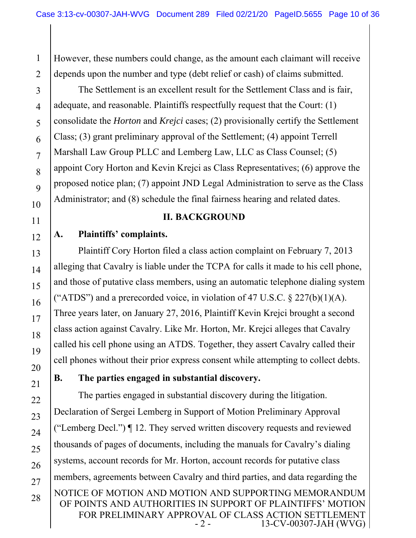1 2 However, these numbers could change, as the amount each claimant will receive depends upon the number and type (debt relief or cash) of claims submitted.

3 4 5 6 7 8 9 10 The Settlement is an excellent result for the Settlement Class and is fair, adequate, and reasonable. Plaintiffs respectfully request that the Court: (1) consolidate the *Horton* and *Krejci* cases; (2) provisionally certify the Settlement Class; (3) grant preliminary approval of the Settlement; (4) appoint Terrell Marshall Law Group PLLC and Lemberg Law, LLC as Class Counsel; (5) appoint Cory Horton and Kevin Krejci as Class Representatives; (6) approve the proposed notice plan; (7) appoint JND Legal Administration to serve as the Class Administrator; and (8) schedule the final fairness hearing and related dates.

#### **II. BACKGROUND**

12

11

13

14

15

16

17

18

19

20

22

23

24

25

26

27

28

# **A. Plaintiffs' complaints.**

Plaintiff Cory Horton filed a class action complaint on February 7, 2013 alleging that Cavalry is liable under the TCPA for calls it made to his cell phone, and those of putative class members, using an automatic telephone dialing system ("ATDS") and a prerecorded voice, in violation of 47 U.S.C.  $\S 227(b)(1)(A)$ . Three years later, on January 27, 2016, Plaintiff Kevin Krejci brought a second class action against Cavalry. Like Mr. Horton, Mr. Krejci alleges that Cavalry called his cell phone using an ATDS. Together, they assert Cavalry called their cell phones without their prior express consent while attempting to collect debts.

21

# **B. The parties engaged in substantial discovery.**

NOTICE OF MOTION AND MOTION AND SUPPORTING MEMORANDUM OF POINTS AND AUTHORITIES IN SUPPORT OF PLAINTIFFS' MOTION FOR PRELIMINARY APPROVAL OF CLASS ACTION SETTLEMENT<br>2 - 13-CV-00307-JAH (WVG) 13-CV-00307-JAH (WVG) The parties engaged in substantial discovery during the litigation. Declaration of Sergei Lemberg in Support of Motion Preliminary Approval ("Lemberg Decl.") ¶ 12. They served written discovery requests and reviewed thousands of pages of documents, including the manuals for Cavalry's dialing systems, account records for Mr. Horton, account records for putative class members, agreements between Cavalry and third parties, and data regarding the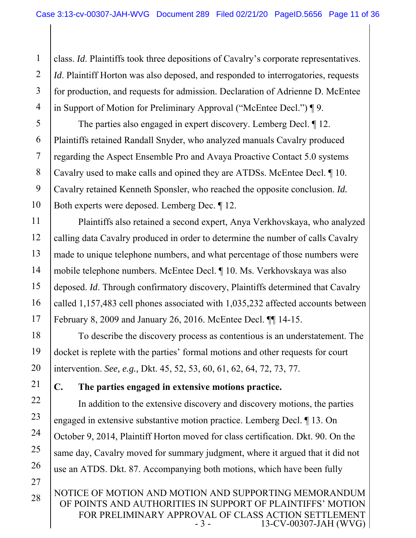1 2 3 4 class. *Id*. Plaintiffs took three depositions of Cavalry's corporate representatives. *Id*. Plaintiff Horton was also deposed, and responded to interrogatories, requests for production, and requests for admission. Declaration of Adrienne D. McEntee in Support of Motion for Preliminary Approval ("McEntee Decl.") ¶ 9.

5 6 7 8 The parties also engaged in expert discovery. Lemberg Decl. ¶ 12. Plaintiffs retained Randall Snyder, who analyzed manuals Cavalry produced regarding the Aspect Ensemble Pro and Avaya Proactive Contact 5.0 systems Cavalry used to make calls and opined they are ATDSs. McEntee Decl. ¶ 10. Cavalry retained Kenneth Sponsler, who reached the opposite conclusion. *Id.* Both experts were deposed. Lemberg Dec. ¶ 12.

Plaintiffs also retained a second expert, Anya Verkhovskaya, who analyzed calling data Cavalry produced in order to determine the number of calls Cavalry made to unique telephone numbers, and what percentage of those numbers were mobile telephone numbers. McEntee Decl. ¶ 10. Ms. Verkhovskaya was also deposed. *Id*. Through confirmatory discovery, Plaintiffs determined that Cavalry called 1,157,483 cell phones associated with 1,035,232 affected accounts between February 8, 2009 and January 26, 2016. McEntee Decl. ¶¶ 14-15.

To describe the discovery process as contentious is an understatement. The docket is replete with the parties' formal motions and other requests for court intervention. *See, e.g.,* Dkt. 45, 52, 53, 60, 61, 62, 64, 72, 73, 77.

### **C. The parties engaged in extensive motions practice.**

In addition to the extensive discovery and discovery motions, the parties engaged in extensive substantive motion practice. Lemberg Decl. ¶ 13. On October 9, 2014, Plaintiff Horton moved for class certification. Dkt. 90. On the same day, Cavalry moved for summary judgment, where it argued that it did not use an ATDS. Dkt. 87. Accompanying both motions, which have been fully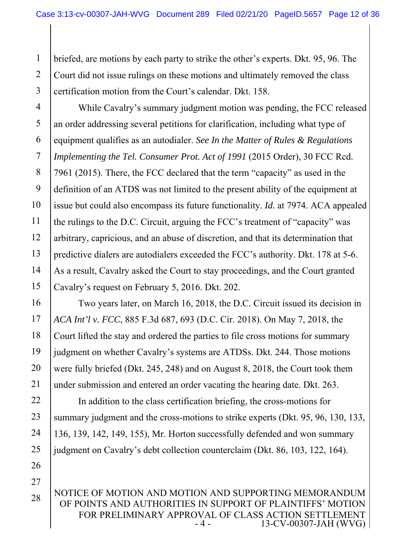1 2 3 briefed, are motions by each party to strike the other's experts. Dkt. 95, 96. The Court did not issue rulings on these motions and ultimately removed the class certification motion from the Court's calendar. Dkt. 158.

4 5 6 7 8 9 10 11 12 13 14 15 While Cavalry's summary judgment motion was pending, the FCC released an order addressing several petitions for clarification, including what type of equipment qualifies as an autodialer. *See In the Matter of Rules & Regulations Implementing the Tel. Consumer Prot. Act of 1991* (2015 Order), 30 FCC Rcd. 7961 (2015). There, the FCC declared that the term "capacity" as used in the definition of an ATDS was not limited to the present ability of the equipment at issue but could also encompass its future functionality. *Id.* at 7974. ACA appealed the rulings to the D.C. Circuit, arguing the FCC's treatment of "capacity" was arbitrary, capricious, and an abuse of discretion, and that its determination that predictive dialers are autodialers exceeded the FCC's authority. Dkt. 178 at 5-6. As a result, Cavalry asked the Court to stay proceedings, and the Court granted Cavalry's request on February 5, 2016. Dkt. 202.

16 17 18 19 20 21 Two years later, on March 16, 2018, the D.C. Circuit issued its decision in *ACA Int'l v. FCC*, 885 F.3d 687, 693 (D.C. Cir. 2018). On May 7, 2018, the Court lifted the stay and ordered the parties to file cross motions for summary judgment on whether Cavalry's systems are ATDSs. Dkt. 244. Those motions were fully briefed (Dkt. 245, 248) and on August 8, 2018, the Court took them under submission and entered an order vacating the hearing date. Dkt. 263.

22 23 24 25 26 In addition to the class certification briefing, the cross-motions for summary judgment and the cross-motions to strike experts (Dkt. 95, 96, 130, 133, 136, 139, 142, 149, 155), Mr. Horton successfully defended and won summary judgment on Cavalry's debt collection counterclaim (Dkt. 86, 103, 122, 164).

NOTICE OF MOTION AND MOTION AND SUPPORTING MEMORANDUM OF POINTS AND AUTHORITIES IN SUPPORT OF PLAINTIFFS' MOTION FOR PRELIMINARY APPROVAL OF CLASS ACTION SETTLEMENT<br>4 - 13-CV-00307-JAH (WVG) 13-CV-00307-JAH (WVG) 28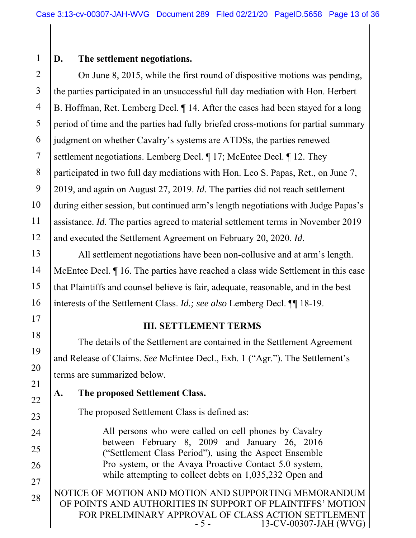# 1

17

18

19

20

21

22

23

24

25

26

27

# **D. The settlement negotiations.**

2 3 4 5 6 7 8 9 10 11 12 On June 8, 2015, while the first round of dispositive motions was pending, the parties participated in an unsuccessful full day mediation with Hon. Herbert B. Hoffman, Ret. Lemberg Decl. ¶ 14. After the cases had been stayed for a long period of time and the parties had fully briefed cross-motions for partial summary judgment on whether Cavalry's systems are ATDSs, the parties renewed settlement negotiations. Lemberg Decl.  $\P$  17; McEntee Decl.  $\P$  12. They participated in two full day mediations with Hon. Leo S. Papas, Ret., on June 7, 2019, and again on August 27, 2019. *Id*. The parties did not reach settlement during either session, but continued arm's length negotiations with Judge Papas's assistance. *Id.* The parties agreed to material settlement terms in November 2019 and executed the Settlement Agreement on February 20, 2020. *Id*.

13 14 15 16 All settlement negotiations have been non-collusive and at arm's length. McEntee Decl. ¶ 16. The parties have reached a class wide Settlement in this case that Plaintiffs and counsel believe is fair, adequate, reasonable, and in the best interests of the Settlement Class. *Id.; see also* Lemberg Decl. ¶¶ 18-19.

### **III. SETTLEMENT TERMS**

The details of the Settlement are contained in the Settlement Agreement and Release of Claims. *See* McEntee Decl., Exh. 1 ("Agr."). The Settlement's terms are summarized below.

# **A. The proposed Settlement Class.**

The proposed Settlement Class is defined as:

All persons who were called on cell phones by Cavalry between February 8, 2009 and January 26, 2016 ("Settlement Class Period"), using the Aspect Ensemble Pro system, or the Avaya Proactive Contact 5.0 system, while attempting to collect debts on 1,035,232 Open and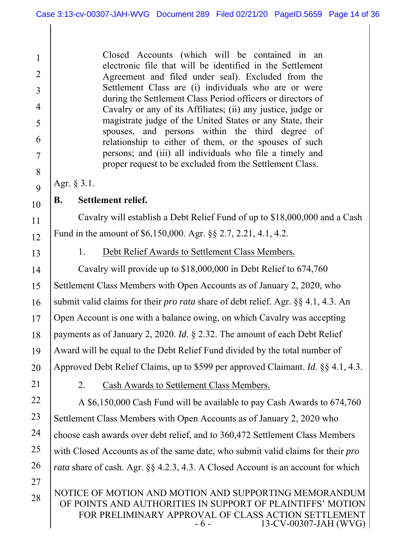Closed Accounts (which will be contained in an electronic file that will be identified in the Settlement Agreement and filed under seal). Excluded from the Settlement Class are (i) individuals who are or were during the Settlement Class Period officers or directors of Cavalry or any of its Affiliates; (ii) any justice, judge or magistrate judge of the United States or any State, their spouses, and persons within the third degree of relationship to either of them, or the spouses of such persons; and (iii) all individuals who file a timely and proper request to be excluded from the Settlement Class.

Agr. § 3.1.

# **B. Settlement relief.**

Cavalry will establish a Debt Relief Fund of up to \$18,000,000 and a Cash Fund in the amount of \$6,150,000. Agr. §§ 2.7, 2.21, 4.1, 4.2.

13

1

2

3

4

5

6

7

8

9

10

11

12

# 1. Debt Relief Awards to Settlement Class Members.

14 15 16 17 18 19 20 Cavalry will provide up to \$18,000,000 in Debt Relief to 674,760 Settlement Class Members with Open Accounts as of January 2, 2020, who submit valid claims for their *pro rata* share of debt relief. Agr. §§ 4.1, 4.3. An Open Account is one with a balance owing, on which Cavalry was accepting payments as of January 2, 2020. *Id*. § 2.32. The amount of each Debt Relief Award will be equal to the Debt Relief Fund divided by the total number of Approved Debt Relief Claims, up to \$599 per approved Claimant. *Id*. §§ 4.1, 4.3.

21

27

28

2. Cash Awards to Settlement Class Members.

22 23 24 25 26 A \$6,150,000 Cash Fund will be available to pay Cash Awards to 674,760 Settlement Class Members with Open Accounts as of January 2, 2020 who choose cash awards over debt relief, and to 360,472 Settlement Class Members with Closed Accounts as of the same date, who submit valid claims for their *pro rata* share of cash. Agr. §§ 4.2.3, 4.3. A Closed Account is an account for which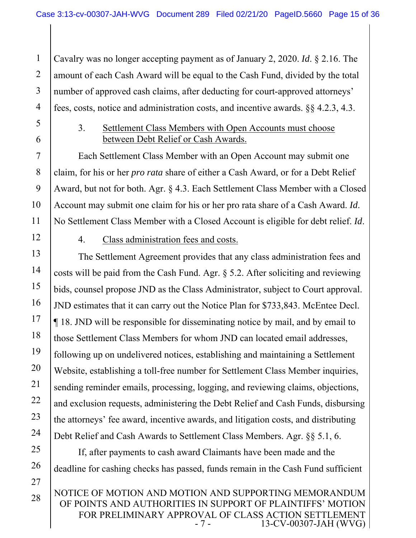1 2 3 4 Cavalry was no longer accepting payment as of January 2, 2020. *Id*. § 2.16. The amount of each Cash Award will be equal to the Cash Fund, divided by the total number of approved cash claims, after deducting for court-approved attorneys' fees, costs, notice and administration costs, and incentive awards. §§ 4.2.3, 4.3.

5 6

7

8

9

10

11

# 3. Settlement Class Members with Open Accounts must choose between Debt Relief or Cash Awards.

Each Settlement Class Member with an Open Account may submit one claim, for his or her *pro rata* share of either a Cash Award, or for a Debt Relief Award, but not for both. Agr. § 4.3. Each Settlement Class Member with a Closed Account may submit one claim for his or her pro rata share of a Cash Award. *Id*. No Settlement Class Member with a Closed Account is eligible for debt relief. *Id*.

12

25

26

27

#### 4. Class administration fees and costs.

13 14 15 16 17 18 19 20 21 22 23 24 The Settlement Agreement provides that any class administration fees and costs will be paid from the Cash Fund. Agr. § 5.2. After soliciting and reviewing bids, counsel propose JND as the Class Administrator, subject to Court approval. JND estimates that it can carry out the Notice Plan for \$733,843. McEntee Decl. ¶ 18. JND will be responsible for disseminating notice by mail, and by email to those Settlement Class Members for whom JND can located email addresses, following up on undelivered notices, establishing and maintaining a Settlement Website, establishing a toll-free number for Settlement Class Member inquiries, sending reminder emails, processing, logging, and reviewing claims, objections, and exclusion requests, administering the Debt Relief and Cash Funds, disbursing the attorneys' fee award, incentive awards, and litigation costs, and distributing Debt Relief and Cash Awards to Settlement Class Members. Agr. §§ 5.1, 6.

If, after payments to cash award Claimants have been made and the deadline for cashing checks has passed, funds remain in the Cash Fund sufficient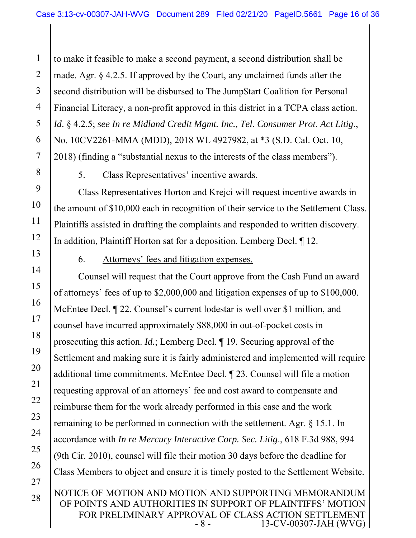1 2 3 4 5 6 7 to make it feasible to make a second payment, a second distribution shall be made. Agr. § 4.2.5. If approved by the Court, any unclaimed funds after the second distribution will be disbursed to The Jump\$tart Coalition for Personal Financial Literacy, a non-profit approved in this district in a TCPA class action. *Id*. § 4.2.5; *see In re Midland Credit Mgmt. Inc., Tel. Consumer Prot. Act Litig*., No. 10CV2261-MMA (MDD), 2018 WL 4927982, at \*3 (S.D. Cal. Oct. 10, 2018) (finding a "substantial nexus to the interests of the class members").

8

9

10

11

12

13

14

15

16

17

18

19

20

21

22

23

24

25

26

27

28

5. Class Representatives' incentive awards.

Class Representatives Horton and Krejci will request incentive awards in the amount of \$10,000 each in recognition of their service to the Settlement Class. Plaintiffs assisted in drafting the complaints and responded to written discovery. In addition, Plaintiff Horton sat for a deposition. Lemberg Decl. ¶ 12.

6. Attorneys' fees and litigation expenses.

NOTICE OF MOTION AND MOTION AND SUPPORTING MEMORANDUM Counsel will request that the Court approve from the Cash Fund an award of attorneys' fees of up to \$2,000,000 and litigation expenses of up to \$100,000. McEntee Decl. ¶ 22. Counsel's current lodestar is well over \$1 million, and counsel have incurred approximately \$88,000 in out-of-pocket costs in prosecuting this action. *Id.*; Lemberg Decl. ¶ 19. Securing approval of the Settlement and making sure it is fairly administered and implemented will require additional time commitments. McEntee Decl. ¶ 23. Counsel will file a motion requesting approval of an attorneys' fee and cost award to compensate and reimburse them for the work already performed in this case and the work remaining to be performed in connection with the settlement. Agr. § 15.1. In accordance with *In re Mercury Interactive Corp. Sec. Litig*., 618 F.3d 988, 994 (9th Cir. 2010), counsel will file their motion 30 days before the deadline for Class Members to object and ensure it is timely posted to the Settlement Website.

OF POINTS AND AUTHORITIES IN SUPPORT OF PLAINTIFFS' MOTION FOR PRELIMINARY APPROVAL OF CLASS ACTION SETTLEMENT<br>8 - 13-CV-00307-JAH (WVG) 13-CV-00307-JAH (WVG)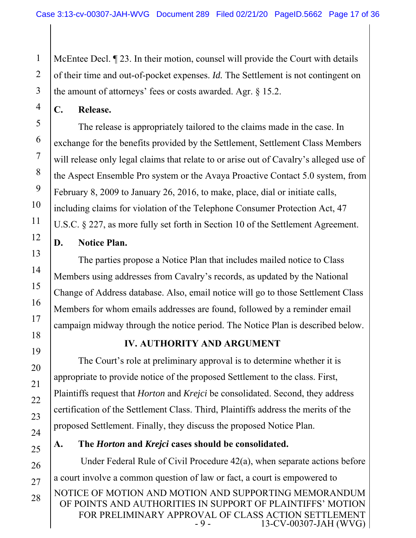1 2 McEntee Decl. ¶ 23. In their motion, counsel will provide the Court with details of their time and out-of-pocket expenses. *Id.* The Settlement is not contingent on the amount of attorneys' fees or costs awarded. Agr. § 15.2.

**C. Release.** 

The release is appropriately tailored to the claims made in the case. In exchange for the benefits provided by the Settlement, Settlement Class Members will release only legal claims that relate to or arise out of Cavalry's alleged use of the Aspect Ensemble Pro system or the Avaya Proactive Contact 5.0 system, from February 8, 2009 to January 26, 2016, to make, place, dial or initiate calls, including claims for violation of the Telephone Consumer Protection Act, 47 U.S.C. § 227, as more fully set forth in Section 10 of the Settlement Agreement.

#### **D. Notice Plan.**

The parties propose a Notice Plan that includes mailed notice to Class Members using addresses from Cavalry's records, as updated by the National Change of Address database. Also, email notice will go to those Settlement Class Members for whom emails addresses are found, followed by a reminder email campaign midway through the notice period. The Notice Plan is described below.

# **IV. AUTHORITY AND ARGUMENT**

The Court's role at preliminary approval is to determine whether it is appropriate to provide notice of the proposed Settlement to the class. First, Plaintiffs request that *Horton* and *Krejci* be consolidated. Second, they address certification of the Settlement Class. Third, Plaintiffs address the merits of the proposed Settlement. Finally, they discuss the proposed Notice Plan.

### **A. The** *Horton* **and** *Krejci* **cases should be consolidated.**

NOTICE OF MOTION AND MOTION AND SUPPORTING MEMORANDUM OF POINTS AND AUTHORITIES IN SUPPORT OF PLAINTIFFS' MOTION FOR PRELIMINARY APPROVAL OF CLASS ACTION SETTLEMENT<br>9 - 13-CV-00307-JAH (WVG) 13-CV-00307-JAH (WVG) Under Federal Rule of Civil Procedure 42(a), when separate actions before a court involve a common question of law or fact, a court is empowered to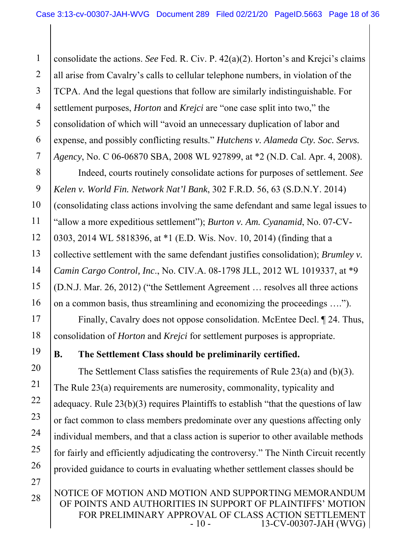1 2 3 4 5 6 7 consolidate the actions. *See* Fed. R. Civ. P. 42(a)(2). Horton's and Krejci's claims all arise from Cavalry's calls to cellular telephone numbers, in violation of the TCPA. And the legal questions that follow are similarly indistinguishable. For settlement purposes, *Horton* and *Krejci* are "one case split into two," the consolidation of which will "avoid an unnecessary duplication of labor and expense, and possibly conflicting results." *Hutchens v. Alameda Cty. Soc. Servs. Agency*, No. C 06-06870 SBA, 2008 WL 927899, at \*2 (N.D. Cal. Apr. 4, 2008).

8 9 14 Indeed, courts routinely consolidate actions for purposes of settlement. *See Kelen v. World Fin. Network Nat'l Bank*, 302 F.R.D. 56, 63 (S.D.N.Y. 2014) (consolidating class actions involving the same defendant and same legal issues to "allow a more expeditious settlement"); *Burton v. Am. Cyanamid*, No. 07-CV-0303, 2014 WL 5818396, at \*1 (E.D. Wis. Nov. 10, 2014) (finding that a collective settlement with the same defendant justifies consolidation); *Brumley v. Camin Cargo Control, Inc*., No. CIV.A. 08-1798 JLL, 2012 WL 1019337, at \*9 (D.N.J. Mar. 26, 2012) ("the Settlement Agreement … resolves all three actions on a common basis, thus streamlining and economizing the proceedings ….").

 Finally, Cavalry does not oppose consolidation. McEntee Decl. ¶ 24. Thus, consolidation of *Horton* and *Krejci* for settlement purposes is appropriate.

**B. The Settlement Class should be preliminarily certified.** 

The Settlement Class satisfies the requirements of Rule 23(a) and (b)(3). The Rule 23(a) requirements are numerosity, commonality, typicality and adequacy. Rule 23(b)(3) requires Plaintiffs to establish "that the questions of law or fact common to class members predominate over any questions affecting only individual members, and that a class action is superior to other available methods for fairly and efficiently adjudicating the controversy." The Ninth Circuit recently provided guidance to courts in evaluating whether settlement classes should be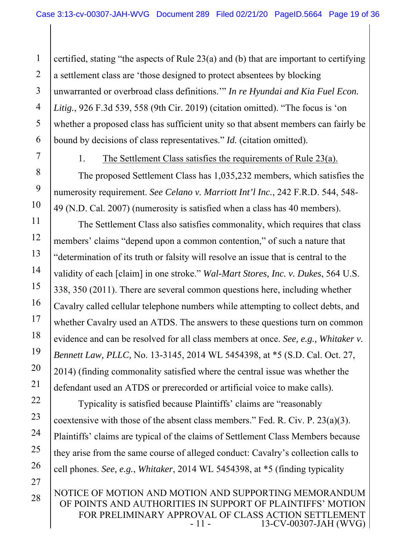1 2 3 4 5 6 certified, stating "the aspects of Rule 23(a) and (b) that are important to certifying a settlement class are 'those designed to protect absentees by blocking unwarranted or overbroad class definitions.'" *In re Hyundai and Kia Fuel Econ. Litig.*, 926 F.3d 539, 558 (9th Cir. 2019) (citation omitted). "The focus is 'on whether a proposed class has sufficient unity so that absent members can fairly be bound by decisions of class representatives." *Id.* (citation omitted).

7

8

9

10

22

23

24

25

26

27

28

1. The Settlement Class satisfies the requirements of Rule 23(a).

The proposed Settlement Class has 1,035,232 members, which satisfies the numerosity requirement. *See Celano v. Marriott Int'l Inc.*, 242 F.R.D. 544, 548- 49 (N.D. Cal. 2007) (numerosity is satisfied when a class has 40 members).

11 12 13 14 15 16 17 18 19 20 21 The Settlement Class also satisfies commonality, which requires that class members' claims "depend upon a common contention," of such a nature that "determination of its truth or falsity will resolve an issue that is central to the validity of each [claim] in one stroke." *Wal-Mart Stores, Inc. v. Dukes*, 564 U.S. 338, 350 (2011). There are several common questions here, including whether Cavalry called cellular telephone numbers while attempting to collect debts, and whether Cavalry used an ATDS. The answers to these questions turn on common evidence and can be resolved for all class members at once. *See, e.g., Whitaker v. Bennett Law, PLLC,* No. 13-3145, 2014 WL 5454398, at \*5 (S.D. Cal. Oct. 27, 2014) (finding commonality satisfied where the central issue was whether the defendant used an ATDS or prerecorded or artificial voice to make calls).

Typicality is satisfied because Plaintiffs' claims are "reasonably coextensive with those of the absent class members." Fed. R. Civ. P. 23(a)(3). Plaintiffs' claims are typical of the claims of Settlement Class Members because they arise from the same course of alleged conduct: Cavalry's collection calls to cell phones. *See, e.g.*, *Whitaker*, 2014 WL 5454398, at \*5 (finding typicality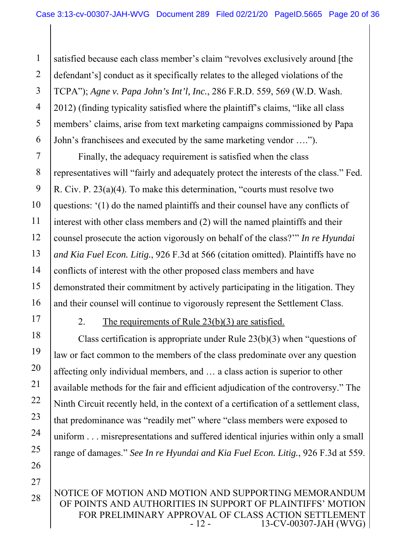1 2 3 4 5 6 satisfied because each class member's claim "revolves exclusively around [the defendant's] conduct as it specifically relates to the alleged violations of the TCPA"); *Agne v. Papa John's Int'l, Inc.*, 286 F.R.D. 559, 569 (W.D. Wash. 2012) (finding typicality satisfied where the plaintiff's claims, "like all class members' claims, arise from text marketing campaigns commissioned by Papa John's franchisees and executed by the same marketing vendor ….").

7 8 9 10 11 12 13 14 15 16 Finally, the adequacy requirement is satisfied when the class representatives will "fairly and adequately protect the interests of the class." Fed. R. Civ. P. 23(a)(4). To make this determination, "courts must resolve two questions: '(1) do the named plaintiffs and their counsel have any conflicts of interest with other class members and (2) will the named plaintiffs and their counsel prosecute the action vigorously on behalf of the class?'" *In re Hyundai and Kia Fuel Econ. Litig.*, 926 F.3d at 566 (citation omitted). Plaintiffs have no conflicts of interest with the other proposed class members and have demonstrated their commitment by actively participating in the litigation. They and their counsel will continue to vigorously represent the Settlement Class.

17

18

19

20

21

22

23

24

25

26

#### 2. The requirements of Rule 23(b)(3) are satisfied.

Class certification is appropriate under Rule 23(b)(3) when "questions of law or fact common to the members of the class predominate over any question affecting only individual members, and … a class action is superior to other available methods for the fair and efficient adjudication of the controversy." The Ninth Circuit recently held, in the context of a certification of a settlement class, that predominance was "readily met" where "class members were exposed to uniform . . . misrepresentations and suffered identical injuries within only a small range of damages." *See In re Hyundai and Kia Fuel Econ. Litig.*, 926 F.3d at 559.

27

28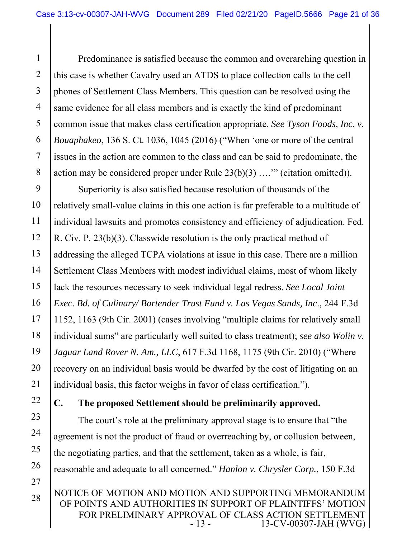1 2 3 4 5 6 7 8 Predominance is satisfied because the common and overarching question in this case is whether Cavalry used an ATDS to place collection calls to the cell phones of Settlement Class Members. This question can be resolved using the same evidence for all class members and is exactly the kind of predominant common issue that makes class certification appropriate. *See Tyson Foods, Inc. v. Bouaphakeo*, 136 S. Ct. 1036, 1045 (2016) ("When 'one or more of the central issues in the action are common to the class and can be said to predominate, the action may be considered proper under Rule  $23(b)(3)$  ...." (citation omitted)).

9 10 11 12 13 14 15 16 17 18 19 20 21 Superiority is also satisfied because resolution of thousands of the relatively small-value claims in this one action is far preferable to a multitude of individual lawsuits and promotes consistency and efficiency of adjudication. Fed. R. Civ. P. 23(b)(3). Classwide resolution is the only practical method of addressing the alleged TCPA violations at issue in this case. There are a million Settlement Class Members with modest individual claims, most of whom likely lack the resources necessary to seek individual legal redress. *See Local Joint Exec. Bd. of Culinary/ Bartender Trust Fund v. Las Vegas Sands, Inc*., 244 F.3d 1152, 1163 (9th Cir. 2001) (cases involving "multiple claims for relatively small individual sums" are particularly well suited to class treatment); *see also Wolin v. Jaguar Land Rover N. Am., LLC*, 617 F.3d 1168, 1175 (9th Cir. 2010) ("Where recovery on an individual basis would be dwarfed by the cost of litigating on an individual basis, this factor weighs in favor of class certification.").

22 23

24

25

26

27

28

# **C. The proposed Settlement should be preliminarily approved.**

The court's role at the preliminary approval stage is to ensure that "the agreement is not the product of fraud or overreaching by, or collusion between, the negotiating parties, and that the settlement, taken as a whole, is fair, reasonable and adequate to all concerned." *Hanlon v. Chrysler Corp.*, 150 F.3d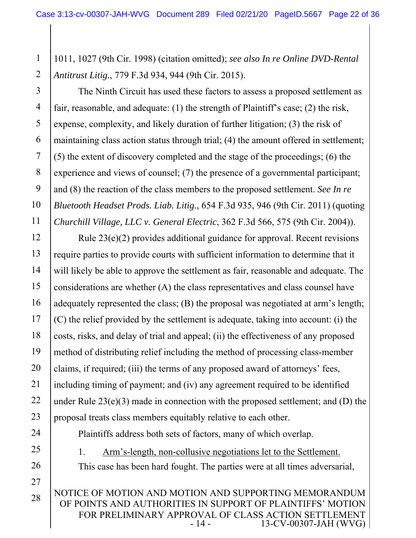1 2 1011, 1027 (9th Cir. 1998) (citation omitted); *see also In re Online DVD-Rental Antitrust Litig.*, 779 F.3d 934, 944 (9th Cir. 2015).

3

4 5 6 7 8 9 10 11 The Ninth Circuit has used these factors to assess a proposed settlement as fair, reasonable, and adequate: (1) the strength of Plaintiff's case; (2) the risk, expense, complexity, and likely duration of further litigation; (3) the risk of maintaining class action status through trial; (4) the amount offered in settlement; (5) the extent of discovery completed and the stage of the proceedings; (6) the experience and views of counsel; (7) the presence of a governmental participant; and (8) the reaction of the class members to the proposed settlement. *See In re Bluetooth Headset Prods. Liab. Litig.*, 654 F.3d 935, 946 (9th Cir. 2011) (quoting *Churchill Village, LLC v. General Electric*, 362 F.3d 566, 575 (9th Cir. 2004)).

12 13 14 15 16 17 18 19 20 21 22 23 Rule 23(e)(2) provides additional guidance for approval. Recent revisions require parties to provide courts with sufficient information to determine that it will likely be able to approve the settlement as fair, reasonable and adequate. The considerations are whether (A) the class representatives and class counsel have adequately represented the class; (B) the proposal was negotiated at arm's length; (C) the relief provided by the settlement is adequate, taking into account: (i) the costs, risks, and delay of trial and appeal; (ii) the effectiveness of any proposed method of distributing relief including the method of processing class-member claims, if required; (iii) the terms of any proposed award of attorneys' fees, including timing of payment; and (iv) any agreement required to be identified under Rule 23(e)(3) made in connection with the proposed settlement; and (D) the proposal treats class members equitably relative to each other.

24

25 26

27

1. Arm's-length, non-collusive negotiations let to the Settlement. This case has been hard fought. The parties were at all times adversarial,

Plaintiffs address both sets of factors, many of which overlap.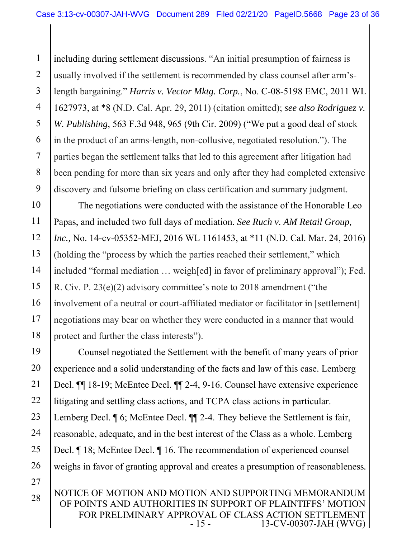1 2 3 4 5 6 7 8 9 including during settlement discussions. "An initial presumption of fairness is usually involved if the settlement is recommended by class counsel after arm'slength bargaining." *Harris v. Vector Mktg. Corp.*, No. C-08-5198 EMC, 2011 WL 1627973, at \*8 (N.D. Cal. Apr. 29, 2011) (citation omitted); *see also Rodriguez v. W. Publishing*, 563 F.3d 948, 965 (9th Cir. 2009) ("We put a good deal of stock in the product of an arms-length, non-collusive, negotiated resolution."). The parties began the settlement talks that led to this agreement after litigation had been pending for more than six years and only after they had completed extensive discovery and fulsome briefing on class certification and summary judgment.

10 11 12 13 14 15 16 17 18 The negotiations were conducted with the assistance of the Honorable Leo Papas, and included two full days of mediation. *See Ruch v. AM Retail Group, Inc.,* No. 14-cv-05352-MEJ, 2016 WL 1161453, at \*11 (N.D. Cal. Mar. 24, 2016) (holding the "process by which the parties reached their settlement," which included "formal mediation … weigh[ed] in favor of preliminary approval"); Fed. R. Civ. P. 23(e)(2) advisory committee's note to 2018 amendment ("the involvement of a neutral or court-affiliated mediator or facilitator in [settlement] negotiations may bear on whether they were conducted in a manner that would protect and further the class interests").

19 20 21 22 23 24 25 26 27 Counsel negotiated the Settlement with the benefit of many years of prior experience and a solid understanding of the facts and law of this case. Lemberg Decl. ¶¶ 18-19; McEntee Decl. ¶¶ 2-4, 9-16. Counsel have extensive experience litigating and settling class actions, and TCPA class actions in particular. Lemberg Decl.  $\P$  6; McEntee Decl.  $\P$  2-4. They believe the Settlement is fair, reasonable, adequate, and in the best interest of the Class as a whole. Lemberg Decl. ¶ 18; McEntee Decl. ¶ 16. The recommendation of experienced counsel weighs in favor of granting approval and creates a presumption of reasonableness*.* 

NOTICE OF MOTION AND MOTION AND SUPPORTING MEMORANDUM OF POINTS AND AUTHORITIES IN SUPPORT OF PLAINTIFFS' MOTION FOR PRELIMINARY APPROVAL OF CLASS ACTION SETTLEMENT<br>13-CV-00307-JAH (WVG) 13-CV-00307-JAH (WVG)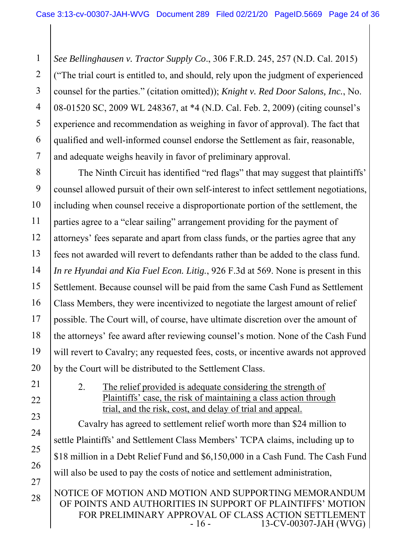1 2 3 4 5 6 7 *See Bellinghausen v. Tractor Supply Co*., 306 F.R.D. 245, 257 (N.D. Cal. 2015) ("The trial court is entitled to, and should, rely upon the judgment of experienced counsel for the parties." (citation omitted)); *Knight v. Red Door Salons, Inc.*, No. 08-01520 SC, 2009 WL 248367, at \*4 (N.D. Cal. Feb. 2, 2009) (citing counsel's experience and recommendation as weighing in favor of approval). The fact that qualified and well-informed counsel endorse the Settlement as fair, reasonable, and adequate weighs heavily in favor of preliminary approval.

8 9 10 11 12 13 14 15 16 17 18 19 20 The Ninth Circuit has identified "red flags" that may suggest that plaintiffs' counsel allowed pursuit of their own self-interest to infect settlement negotiations, including when counsel receive a disproportionate portion of the settlement, the parties agree to a "clear sailing" arrangement providing for the payment of attorneys' fees separate and apart from class funds, or the parties agree that any fees not awarded will revert to defendants rather than be added to the class fund. *In re Hyundai and Kia Fuel Econ. Litig.*, 926 F.3d at 569. None is present in this Settlement. Because counsel will be paid from the same Cash Fund as Settlement Class Members, they were incentivized to negotiate the largest amount of relief possible. The Court will, of course, have ultimate discretion over the amount of the attorneys' fee award after reviewing counsel's motion. None of the Cash Fund will revert to Cavalry; any requested fees, costs, or incentive awards not approved by the Court will be distributed to the Settlement Class.

25

26

27

28

2. The relief provided is adequate considering the strength of Plaintiffs' case, the risk of maintaining a class action through trial, and the risk, cost, and delay of trial and appeal.

Cavalry has agreed to settlement relief worth more than \$24 million to settle Plaintiffs' and Settlement Class Members' TCPA claims, including up to \$18 million in a Debt Relief Fund and \$6,150,000 in a Cash Fund. The Cash Fund will also be used to pay the costs of notice and settlement administration,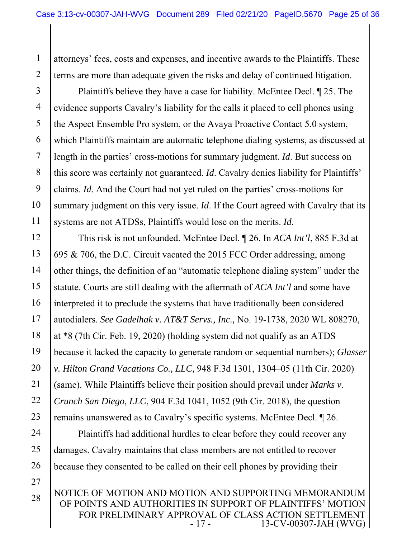attorneys' fees, costs and expenses, and incentive awards to the Plaintiffs. These terms are more than adequate given the risks and delay of continued litigation.

1

2

27

28

3 4 5 6 7 8 9 10 11 Plaintiffs believe they have a case for liability. McEntee Decl. ¶ 25. The evidence supports Cavalry's liability for the calls it placed to cell phones using the Aspect Ensemble Pro system, or the Avaya Proactive Contact 5.0 system, which Plaintiffs maintain are automatic telephone dialing systems, as discussed at length in the parties' cross-motions for summary judgment. *Id*. But success on this score was certainly not guaranteed. *Id*. Cavalry denies liability for Plaintiffs' claims. *Id*. And the Court had not yet ruled on the parties' cross-motions for summary judgment on this very issue. *Id*. If the Court agreed with Cavalry that its systems are not ATDSs, Plaintiffs would lose on the merits. *Id.* 

12 13 14 15 16 17 18 19 20 21 22 23 This risk is not unfounded. McEntee Decl. ¶ 26. In *ACA Int'l*, 885 F.3d at 695 & 706, the D.C. Circuit vacated the 2015 FCC Order addressing, among other things, the definition of an "automatic telephone dialing system" under the statute. Courts are still dealing with the aftermath of *ACA Int'l* and some have interpreted it to preclude the systems that have traditionally been considered autodialers. *See Gadelhak v. AT&T Servs., Inc.,* No. 19-1738, 2020 WL 808270, at \*8 (7th Cir. Feb. 19, 2020) (holding system did not qualify as an ATDS because it lacked the capacity to generate random or sequential numbers); *Glasser v. Hilton Grand Vacations Co., LLC,* 948 F.3d 1301, 1304–05 (11th Cir. 2020) (same). While Plaintiffs believe their position should prevail under *Marks v. Crunch San Diego, LLC*, 904 F.3d 1041, 1052 (9th Cir. 2018), the question remains unanswered as to Cavalry's specific systems. McEntee Decl. ¶ 26.

24 25 26 Plaintiffs had additional hurdles to clear before they could recover any damages. Cavalry maintains that class members are not entitled to recover because they consented to be called on their cell phones by providing their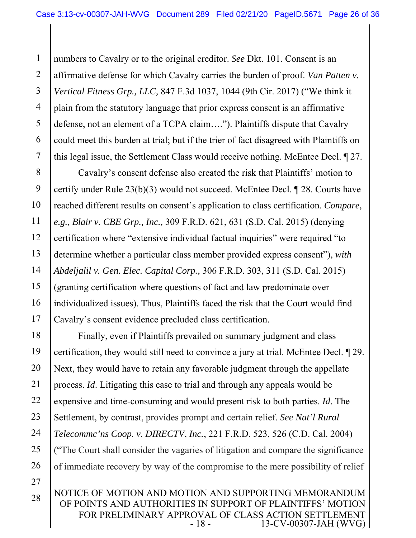1 2 3 4 5 6 7 numbers to Cavalry or to the original creditor. *See* Dkt. 101. Consent is an affirmative defense for which Cavalry carries the burden of proof. *Van Patten v. Vertical Fitness Grp., LLC,* 847 F.3d 1037, 1044 (9th Cir. 2017) ("We think it plain from the statutory language that prior express consent is an affirmative defense, not an element of a TCPA claim…."). Plaintiffs dispute that Cavalry could meet this burden at trial; but if the trier of fact disagreed with Plaintiffs on this legal issue, the Settlement Class would receive nothing. McEntee Decl. ¶ 27.

8 9 10 11 12 13 14 15 16 17 Cavalry's consent defense also created the risk that Plaintiffs' motion to certify under Rule 23(b)(3) would not succeed. McEntee Decl. ¶ 28. Courts have reached different results on consent's application to class certification. *Compare, e.g., Blair v. CBE Grp., Inc.,* 309 F.R.D. 621, 631 (S.D. Cal. 2015) (denying certification where "extensive individual factual inquiries" were required "to determine whether a particular class member provided express consent"), *with Abdeljalil v. Gen. Elec. Capital Corp.,* 306 F.R.D. 303, 311 (S.D. Cal. 2015) (granting certification where questions of fact and law predominate over individualized issues). Thus, Plaintiffs faced the risk that the Court would find Cavalry's consent evidence precluded class certification.

18 19 20 21 22 23 24 25 26 27 Finally, even if Plaintiffs prevailed on summary judgment and class certification, they would still need to convince a jury at trial. McEntee Decl. ¶ 29. Next, they would have to retain any favorable judgment through the appellate process. *Id*. Litigating this case to trial and through any appeals would be expensive and time-consuming and would present risk to both parties. *Id*. The Settlement, by contrast, provides prompt and certain relief. *See Nat'l Rural Telecommc'ns Coop. v. DIRECTV*, *Inc.*, 221 F.R.D. 523, 526 (C.D. Cal. 2004) ("The Court shall consider the vagaries of litigation and compare the significance of immediate recovery by way of the compromise to the mere possibility of relief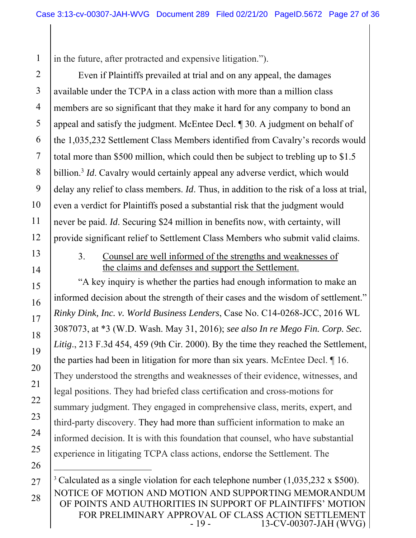1 in the future, after protracted and expensive litigation.").

2 3 4 5 6 7 8 9 10 Even if Plaintiffs prevailed at trial and on any appeal, the damages available under the TCPA in a class action with more than a million class members are so significant that they make it hard for any company to bond an appeal and satisfy the judgment. McEntee Decl. ¶ 30. A judgment on behalf of the 1,035,232 Settlement Class Members identified from Cavalry's records would total more than \$500 million, which could then be subject to trebling up to \$1.5 billion.<sup>3</sup> *Id*. Cavalry would certainly appeal any adverse verdict, which would delay any relief to class members. *Id*. Thus, in addition to the risk of a loss at trial, even a verdict for Plaintiffs posed a substantial risk that the judgment would never be paid. *Id*. Securing \$24 million in benefits now, with certainty, will provide significant relief to Settlement Class Members who submit valid claims.

3. Counsel are well informed of the strengths and weaknesses of the claims and defenses and support the Settlement.

"A key inquiry is whether the parties had enough information to make an informed decision about the strength of their cases and the wisdom of settlement." *Rinky Dink, Inc. v. World Business Lenders*, Case No. C14‐0268‐JCC, 2016 WL 3087073, at \*3 (W.D. Wash. May 31, 2016); *see also In re Mego Fin. Corp. Sec. Litig*., 213 F.3d 454, 459 (9th Cir. 2000). By the time they reached the Settlement, the parties had been in litigation for more than six years. McEntee Decl. ¶ 16. They understood the strengths and weaknesses of their evidence, witnesses, and legal positions. They had briefed class certification and cross-motions for summary judgment. They engaged in comprehensive class, merits, expert, and third-party discovery. They had more than sufficient information to make an informed decision. It is with this foundation that counsel, who have substantial experience in litigating TCPA class actions, endorse the Settlement. The

NOTICE OF MOTION AND MOTION AND SUPPORTING MEMORANDUM OF POINTS AND AUTHORITIES IN SUPPORT OF PLAINTIFFS' MOTION FOR PRELIMINARY APPROVAL OF CLASS ACTION SETTLEMENT<br>13-CV-00307-JAH (WVG) 13-CV-00307-JAH (WVG) <sup>3</sup> Calculated as a single violation for each telephone number  $(1,035,232 \times $500)$ .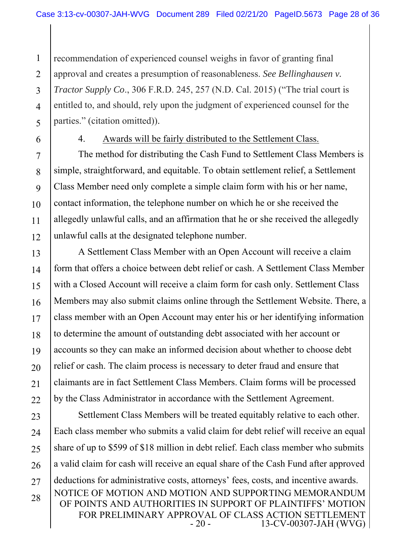1 2 3 4 5 recommendation of experienced counsel weighs in favor of granting final approval and creates a presumption of reasonableness. *See Bellinghausen v. Tractor Supply Co*., 306 F.R.D. 245, 257 (N.D. Cal. 2015) ("The trial court is entitled to, and should, rely upon the judgment of experienced counsel for the parties." (citation omitted)).

6

#### 4. Awards will be fairly distributed to the Settlement Class.

7 8 9 10 11 12 The method for distributing the Cash Fund to Settlement Class Members is simple, straightforward, and equitable. To obtain settlement relief, a Settlement Class Member need only complete a simple claim form with his or her name, contact information, the telephone number on which he or she received the allegedly unlawful calls, and an affirmation that he or she received the allegedly unlawful calls at the designated telephone number.

13 14 15 16 17 18 19 20 21 22 A Settlement Class Member with an Open Account will receive a claim form that offers a choice between debt relief or cash. A Settlement Class Member with a Closed Account will receive a claim form for cash only. Settlement Class Members may also submit claims online through the Settlement Website. There, a class member with an Open Account may enter his or her identifying information to determine the amount of outstanding debt associated with her account or accounts so they can make an informed decision about whether to choose debt relief or cash. The claim process is necessary to deter fraud and ensure that claimants are in fact Settlement Class Members. Claim forms will be processed by the Class Administrator in accordance with the Settlement Agreement.

NOTICE OF MOTION AND MOTION AND SUPPORTING MEMORANDUM OF POINTS AND AUTHORITIES IN SUPPORT OF PLAINTIFFS' MOTION FOR PRELIMINARY APPROVAL OF CLASS ACTION SETTLEMENT<br>20 - 13-CV-00307-JAH (WVG) 13-CV-00307-JAH (WVG) 23 24 25 26 27 28 Settlement Class Members will be treated equitably relative to each other. Each class member who submits a valid claim for debt relief will receive an equal share of up to \$599 of \$18 million in debt relief. Each class member who submits a valid claim for cash will receive an equal share of the Cash Fund after approved deductions for administrative costs, attorneys' fees, costs, and incentive awards.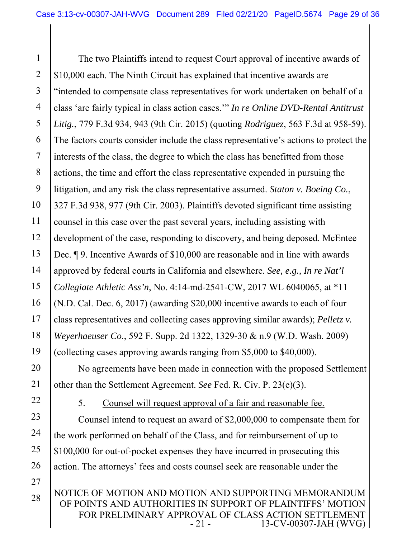1 2 3 4 5 6 7 8 9 10 11 12 13 14 15 16 17 18 19 20 The two Plaintiffs intend to request Court approval of incentive awards of \$10,000 each. The Ninth Circuit has explained that incentive awards are "intended to compensate class representatives for work undertaken on behalf of a class 'are fairly typical in class action cases.'" *In re Online DVD-Rental Antitrust Litig.*, 779 F.3d 934, 943 (9th Cir. 2015) (quoting *Rodriguez*, 563 F.3d at 958-59). The factors courts consider include the class representative's actions to protect the interests of the class, the degree to which the class has benefitted from those actions, the time and effort the class representative expended in pursuing the litigation, and any risk the class representative assumed. *Staton v. Boeing Co.*, 327 F.3d 938, 977 (9th Cir. 2003). Plaintiffs devoted significant time assisting counsel in this case over the past several years, including assisting with development of the case, responding to discovery, and being deposed. McEntee Dec. ¶ 9. Incentive Awards of \$10,000 are reasonable and in line with awards approved by federal courts in California and elsewhere. *See, e.g., In re Nat'l Collegiate Athletic Ass'n*, No. 4:14-md-2541-CW, 2017 WL 6040065, at \*11 (N.D. Cal. Dec. 6, 2017) (awarding \$20,000 incentive awards to each of four class representatives and collecting cases approving similar awards); *Pelletz v. Weyerhaeuser Co.*, 592 F. Supp. 2d 1322, 1329-30 & n.9 (W.D. Wash. 2009) (collecting cases approving awards ranging from \$5,000 to \$40,000). No agreements have been made in connection with the proposed Settlement

21 other than the Settlement Agreement. *See* Fed. R. Civ. P. 23(e)(3).

22

23

24

25

26

27

28

5. Counsel will request approval of a fair and reasonable fee.

Counsel intend to request an award of \$2,000,000 to compensate them for the work performed on behalf of the Class, and for reimbursement of up to \$100,000 for out-of-pocket expenses they have incurred in prosecuting this action. The attorneys' fees and costs counsel seek are reasonable under the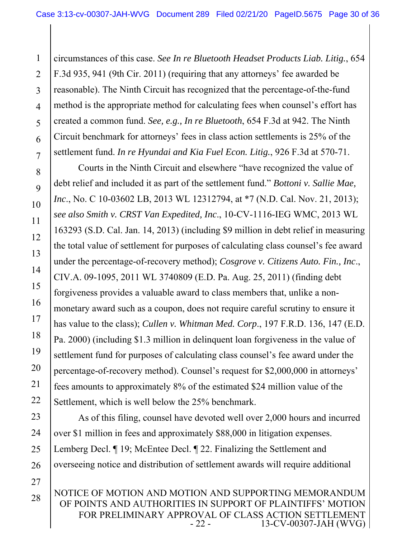1 2 3 4 5 6 7 circumstances of this case. *See In re Bluetooth Headset Products Liab. Litig.*, 654 F.3d 935, 941 (9th Cir. 2011) (requiring that any attorneys' fee awarded be reasonable). The Ninth Circuit has recognized that the percentage-of-the-fund method is the appropriate method for calculating fees when counsel's effort has created a common fund. *See, e.g., In re Bluetooth*, 654 F.3d at 942. The Ninth Circuit benchmark for attorneys' fees in class action settlements is 25% of the settlement fund. *In re Hyundai and Kia Fuel Econ. Litig.*, 926 F.3d at 570-71.

8

9

10

11

12

13

15

16

17

18

19

20

21

22

28

14 Courts in the Ninth Circuit and elsewhere "have recognized the value of debt relief and included it as part of the settlement fund." *Bottoni v. Sallie Mae, Inc*., No. C 10-03602 LB, 2013 WL 12312794, at \*7 (N.D. Cal. Nov. 21, 2013); *see also Smith v. CRST Van Expedited, Inc*., 10-CV-1116-IEG WMC, 2013 WL 163293 (S.D. Cal. Jan. 14, 2013) (including \$9 million in debt relief in measuring the total value of settlement for purposes of calculating class counsel's fee award under the percentage-of-recovery method); *Cosgrove v. Citizens Auto. Fin., Inc*., CIV.A. 09-1095, 2011 WL 3740809 (E.D. Pa. Aug. 25, 2011) (finding debt forgiveness provides a valuable award to class members that, unlike a nonmonetary award such as a coupon, does not require careful scrutiny to ensure it has value to the class); *Cullen v. Whitman Med. Corp*., 197 F.R.D. 136, 147 (E.D. Pa. 2000) (including \$1.3 million in delinquent loan forgiveness in the value of settlement fund for purposes of calculating class counsel's fee award under the percentage-of-recovery method). Counsel's request for \$2,000,000 in attorneys' fees amounts to approximately 8% of the estimated \$24 million value of the Settlement, which is well below the 25% benchmark.

23 24 25 26 27 As of this filing, counsel have devoted well over 2,000 hours and incurred over \$1 million in fees and approximately \$88,000 in litigation expenses. Lemberg Decl.  $\P$  19; McEntee Decl.  $\P$  22. Finalizing the Settlement and overseeing notice and distribution of settlement awards will require additional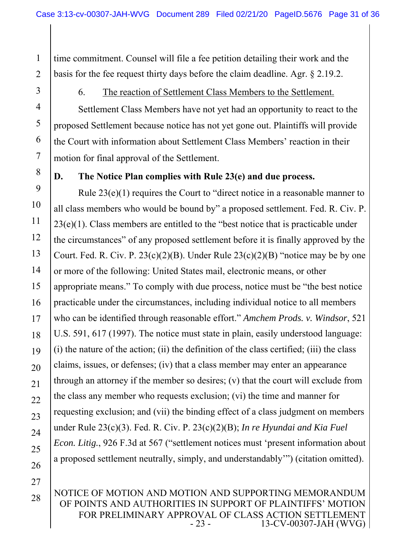1 2 time commitment. Counsel will file a fee petition detailing their work and the basis for the fee request thirty days before the claim deadline. Agr. § 2.19.2.

#### 6. The reaction of Settlement Class Members to the Settlement.

Settlement Class Members have not yet had an opportunity to react to the proposed Settlement because notice has not yet gone out. Plaintiffs will provide the Court with information about Settlement Class Members' reaction in their motion for final approval of the Settlement.

8

3

4

5

6

7

#### **D. The Notice Plan complies with Rule 23(e) and due process.**

9 10 11 12 13 14 15 16 17 18 19 20 21 22 23 24 25 26 Rule 23(e)(1) requires the Court to "direct notice in a reasonable manner to all class members who would be bound by" a proposed settlement. Fed. R. Civ. P. 23(e)(1). Class members are entitled to the "best notice that is practicable under the circumstances" of any proposed settlement before it is finally approved by the Court. Fed. R. Civ. P.  $23(c)(2)(B)$ . Under Rule  $23(c)(2)(B)$  "notice may be by one or more of the following: United States mail, electronic means, or other appropriate means." To comply with due process, notice must be "the best notice practicable under the circumstances, including individual notice to all members who can be identified through reasonable effort." *Amchem Prods. v. Windsor*, 521 U.S. 591, 617 (1997). The notice must state in plain, easily understood language: (i) the nature of the action; (ii) the definition of the class certified; (iii) the class claims, issues, or defenses; (iv) that a class member may enter an appearance through an attorney if the member so desires; (v) that the court will exclude from the class any member who requests exclusion; (vi) the time and manner for requesting exclusion; and (vii) the binding effect of a class judgment on members under Rule 23(c)(3). Fed. R. Civ. P. 23(c)(2)(B); *In re Hyundai and Kia Fuel Econ. Litig.*, 926 F.3d at 567 ("settlement notices must 'present information about a proposed settlement neutrally, simply, and understandably'") (citation omitted).

27

28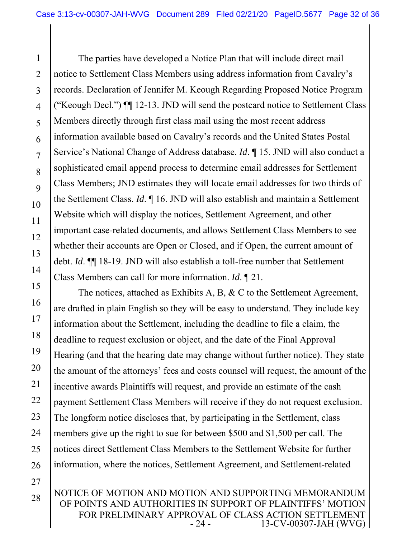1 2 3 4 5 6 7 8 9 10 11 12 13 14 The parties have developed a Notice Plan that will include direct mail notice to Settlement Class Members using address information from Cavalry's records. Declaration of Jennifer M. Keough Regarding Proposed Notice Program ("Keough Decl.") ¶¶ 12-13. JND will send the postcard notice to Settlement Class Members directly through first class mail using the most recent address information available based on Cavalry's records and the United States Postal Service's National Change of Address database. *Id*. ¶ 15. JND will also conduct a sophisticated email append process to determine email addresses for Settlement Class Members; JND estimates they will locate email addresses for two thirds of the Settlement Class. *Id*. ¶ 16. JND will also establish and maintain a Settlement Website which will display the notices, Settlement Agreement, and other important case-related documents, and allows Settlement Class Members to see whether their accounts are Open or Closed, and if Open, the current amount of debt. *Id*. ¶¶ 18-19. JND will also establish a toll-free number that Settlement Class Members can call for more information. *Id*. ¶ 21.

15 16 17 18 19 20 21 22 23 24 25 26 The notices, attached as Exhibits A, B, & C to the Settlement Agreement, are drafted in plain English so they will be easy to understand. They include key information about the Settlement, including the deadline to file a claim, the deadline to request exclusion or object, and the date of the Final Approval Hearing (and that the hearing date may change without further notice). They state the amount of the attorneys' fees and costs counsel will request, the amount of the incentive awards Plaintiffs will request, and provide an estimate of the cash payment Settlement Class Members will receive if they do not request exclusion. The longform notice discloses that, by participating in the Settlement, class members give up the right to sue for between \$500 and \$1,500 per call. The notices direct Settlement Class Members to the Settlement Website for further information, where the notices, Settlement Agreement, and Settlement-related

NOTICE OF MOTION AND MOTION AND SUPPORTING MEMORANDUM OF POINTS AND AUTHORITIES IN SUPPORT OF PLAINTIFFS' MOTION FOR PRELIMINARY APPROVAL OF CLASS ACTION SETTLEMENT<br>24 - 13-CV-00307-JAH (WVG) 13-CV-00307-JAH (WVG)

27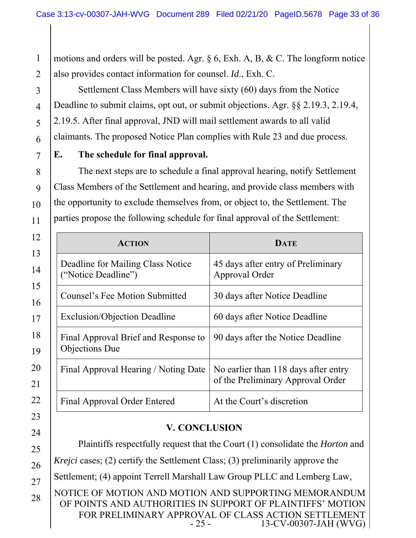1 2 motions and orders will be posted. Agr.  $\S 6$ , Exh. A, B, & C. The longform notice also provides contact information for counsel. *Id*., Exh. C.

Settlement Class Members will have sixty (60) days from the Notice Deadline to submit claims, opt out, or submit objections. Agr. §§ 2.19.3, 2.19.4, 2.19.5. After final approval, JND will mail settlement awards to all valid claimants. The proposed Notice Plan complies with Rule 23 and due process.

### **E. The schedule for final approval.**

The next steps are to schedule a final approval hearing, notify Settlement Class Members of the Settlement and hearing, and provide class members with the opportunity to exclude themselves from, or object to, the Settlement. The parties propose the following schedule for final approval of the Settlement:

| <b>ACTION</b>                                            | <b>DATE</b>                                                               |
|----------------------------------------------------------|---------------------------------------------------------------------------|
| Deadline for Mailing Class Notice<br>("Notice Deadline") | 45 days after entry of Preliminary<br>Approval Order                      |
| <b>Counsel's Fee Motion Submitted</b>                    | 30 days after Notice Deadline                                             |
| <b>Exclusion/Objection Deadline</b>                      | 60 days after Notice Deadline                                             |
| Final Approval Brief and Response to<br>Objections Due   | 90 days after the Notice Deadline                                         |
| Final Approval Hearing / Noting Date                     | No earlier than 118 days after entry<br>of the Preliminary Approval Order |
| Final Approval Order Entered                             | At the Court's discretion                                                 |

### **V. CONCLUSION**

NOTICE OF MOTION AND MOTION AND SUPPORTING MEMORANDUM OF POINTS AND AUTHORITIES IN SUPPORT OF PLAINTIFFS' MOTION Plaintiffs respectfully request that the Court (1) consolidate the *Horton* and *Krejci* cases; (2) certify the Settlement Class; (3) preliminarily approve the Settlement; (4) appoint Terrell Marshall Law Group PLLC and Lemberg Law,

FOR PRELIMINARY APPROVAL OF CLASS ACTION SETTLEMENT<br>25 - 13-CV-00307-JAH (WVG)

13-CV-00307-JAH (WVG)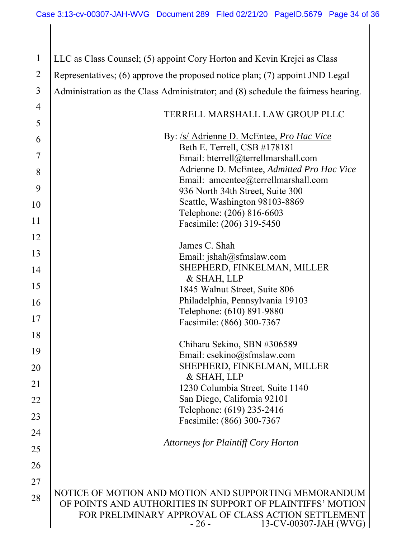| $\mathbf{1}$   | LLC as Class Counsel; (5) appoint Cory Horton and Kevin Krejci as Class                                                                                                                                       |
|----------------|---------------------------------------------------------------------------------------------------------------------------------------------------------------------------------------------------------------|
| $\overline{2}$ | Representatives; (6) approve the proposed notice plan; (7) appoint JND Legal                                                                                                                                  |
| 3              | Administration as the Class Administrator; and (8) schedule the fairness hearing.                                                                                                                             |
| $\overline{4}$ |                                                                                                                                                                                                               |
| 5              | TERRELL MARSHALL LAW GROUP PLLC                                                                                                                                                                               |
| 6              | By: /s/ Adrienne D. McEntee, <i>Pro Hac Vice</i>                                                                                                                                                              |
| 7              | Beth E. Terrell, CSB #178181<br>Email: bterrell@terrellmarshall.com                                                                                                                                           |
| 8              | Adrienne D. McEntee, Admitted Pro Hac Vice                                                                                                                                                                    |
| 9              | Email: amcentee@terrellmarshall.com                                                                                                                                                                           |
|                | 936 North 34th Street, Suite 300<br>Seattle, Washington 98103-8869                                                                                                                                            |
| 10             | Telephone: (206) 816-6603                                                                                                                                                                                     |
| 11             | Facsimile: (206) 319-5450                                                                                                                                                                                     |
| 12             | James C. Shah                                                                                                                                                                                                 |
| 13             | Email: jshah@sfmslaw.com                                                                                                                                                                                      |
| 14             | SHEPHERD, FINKELMAN, MILLER                                                                                                                                                                                   |
|                | & SHAH, LLP                                                                                                                                                                                                   |
| 15             | 1845 Walnut Street, Suite 806                                                                                                                                                                                 |
| 16             | Philadelphia, Pennsylvania 19103                                                                                                                                                                              |
| 17             | Telephone: (610) 891-9880<br>Facsimile: (866) 300-7367                                                                                                                                                        |
| 18             |                                                                                                                                                                                                               |
|                | Chiharu Sekino, SBN #306589                                                                                                                                                                                   |
| 19             | Email: csekino@sfmslaw.com                                                                                                                                                                                    |
| 20             | SHEPHERD, FINKELMAN, MILLER<br>& SHAH, LLP                                                                                                                                                                    |
| 21             | 1230 Columbia Street, Suite 1140                                                                                                                                                                              |
| 22             | San Diego, California 92101                                                                                                                                                                                   |
| 23             | Telephone: (619) 235-2416                                                                                                                                                                                     |
| 24             | Facsimile: (866) 300-7367                                                                                                                                                                                     |
|                | <b>Attorneys for Plaintiff Cory Horton</b>                                                                                                                                                                    |
| 25             |                                                                                                                                                                                                               |
| 26             |                                                                                                                                                                                                               |
| 27             |                                                                                                                                                                                                               |
| 28             | NOTICE OF MOTION AND MOTION AND SUPPORTING MEMORANDUM<br>OF POINTS AND AUTHORITIES IN SUPPORT OF PLAINTIFFS' MOTION<br>FOR PRELIMINARY APPROVAL OF CLASS ACTION SETTLEMENT<br>13-CV-00307-JAH (WVG)<br>$-26-$ |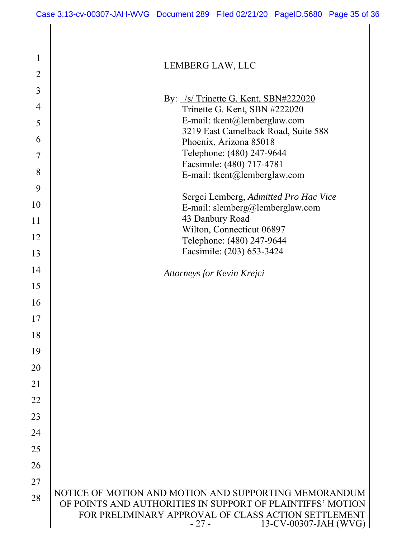| $\overline{2}$ | LLIVIDLINO LITTI, LLU                                                                                                                                                                                         |
|----------------|---------------------------------------------------------------------------------------------------------------------------------------------------------------------------------------------------------------|
| 3              |                                                                                                                                                                                                               |
| $\overline{4}$ | By: /s/Trinette G. Kent, SBN#222020<br>Trinette G. Kent, SBN #222020                                                                                                                                          |
| 5              | E-mail: tkent@lemberglaw.com                                                                                                                                                                                  |
|                | 3219 East Camelback Road, Suite 588                                                                                                                                                                           |
| 6              | Phoenix, Arizona 85018                                                                                                                                                                                        |
| 7              | Telephone: (480) 247-9644                                                                                                                                                                                     |
| 8              | Facsimile: (480) 717-4781                                                                                                                                                                                     |
|                | E-mail: tkent@lemberglaw.com                                                                                                                                                                                  |
| 9              | Sergei Lemberg, Admitted Pro Hac Vice                                                                                                                                                                         |
| 10             | E-mail: slemberg@lemberglaw.com                                                                                                                                                                               |
| 11             | 43 Danbury Road                                                                                                                                                                                               |
|                | Wilton, Connecticut 06897                                                                                                                                                                                     |
| 12             | Telephone: (480) 247-9644                                                                                                                                                                                     |
| 13             | Facsimile: (203) 653-3424                                                                                                                                                                                     |
| 14             | Attorneys for Kevin Krejci                                                                                                                                                                                    |
| 15             |                                                                                                                                                                                                               |
| 16             |                                                                                                                                                                                                               |
| 17             |                                                                                                                                                                                                               |
| 18             |                                                                                                                                                                                                               |
| 19             |                                                                                                                                                                                                               |
| 20             |                                                                                                                                                                                                               |
| 21             |                                                                                                                                                                                                               |
| 22             |                                                                                                                                                                                                               |
| 23             |                                                                                                                                                                                                               |
| 24             |                                                                                                                                                                                                               |
| 25             |                                                                                                                                                                                                               |
| 26             |                                                                                                                                                                                                               |
| 27             |                                                                                                                                                                                                               |
| 28             | NOTICE OF MOTION AND MOTION AND SUPPORTING MEMORANDUM<br>OF POINTS AND AUTHORITIES IN SUPPORT OF PLAINTIFFS' MOTION<br>FOR PRELIMINARY APPROVAL OF CLASS ACTION SETTLEMENT<br>$-27-$<br>13-CV-00307-JAH (WVG) |